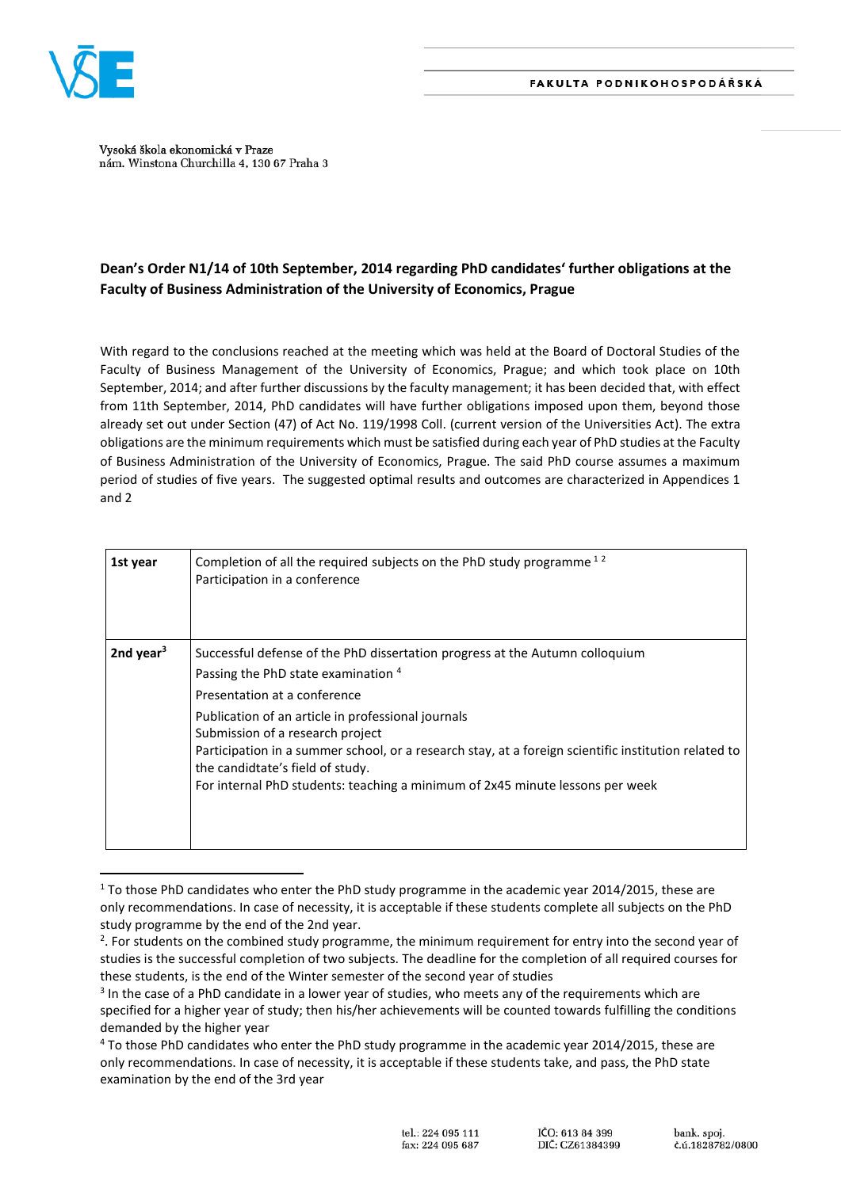

 $\overline{a}$ 

Vysoká škola ekonomická v Praze nám. Winstona Churchilla 4, 130 67 Praha 3

## **Dean's Order N1/14 of 10th September, 2014 regarding PhD candidates' further obligations at the Faculty of Business Administration of the University of Economics, Prague**

With regard to the conclusions reached at the meeting which was held at the Board of Doctoral Studies of the Faculty of Business Management of the University of Economics, Prague; and which took place on 10th September, 2014; and after further discussions by the faculty management; it has been decided that, with effect from 11th September, 2014, PhD candidates will have further obligations imposed upon them, beyond those already set out under Section (47) of Act No. 119/1998 Coll. (current version of the Universities Act). The extra obligations are the minimum requirements which must be satisfied during each year of PhD studies at the Faculty of Business Administration of the University of Economics, Prague. The said PhD course assumes a maximum period of studies of five years. The suggested optimal results and outcomes are characterized in Appendices 1 and 2

| 1st year     | Completion of all the required subjects on the PhD study programme <sup>12</sup><br>Participation in a conference                                                                                                                                                                                                                                                                                                                                                          |
|--------------|----------------------------------------------------------------------------------------------------------------------------------------------------------------------------------------------------------------------------------------------------------------------------------------------------------------------------------------------------------------------------------------------------------------------------------------------------------------------------|
| 2nd year $3$ | Successful defense of the PhD dissertation progress at the Autumn colloquium<br>Passing the PhD state examination 4<br>Presentation at a conference<br>Publication of an article in professional journals<br>Submission of a research project<br>Participation in a summer school, or a research stay, at a foreign scientific institution related to<br>the candidtate's field of study.<br>For internal PhD students: teaching a minimum of 2x45 minute lessons per week |

<sup>1</sup> To those PhD candidates who enter the PhD study programme in the academic year 2014/2015, these are only recommendations. In case of necessity, it is acceptable if these students complete all subjects on the PhD study programme by the end of the 2nd year.

<sup>&</sup>lt;sup>2</sup>. For students on the combined study programme, the minimum requirement for entry into the second year of studies is the successful completion of two subjects. The deadline for the completion of all required courses for these students, is the end of the Winter semester of the second year of studies

<sup>&</sup>lt;sup>3</sup> In the case of a PhD candidate in a lower year of studies, who meets any of the requirements which are specified for a higher year of study; then his/her achievements will be counted towards fulfilling the conditions demanded by the higher year

<sup>4</sup> To those PhD candidates who enter the PhD study programme in the academic year 2014/2015, these are only recommendations. In case of necessity, it is acceptable if these students take, and pass, the PhD state examination by the end of the 3rd year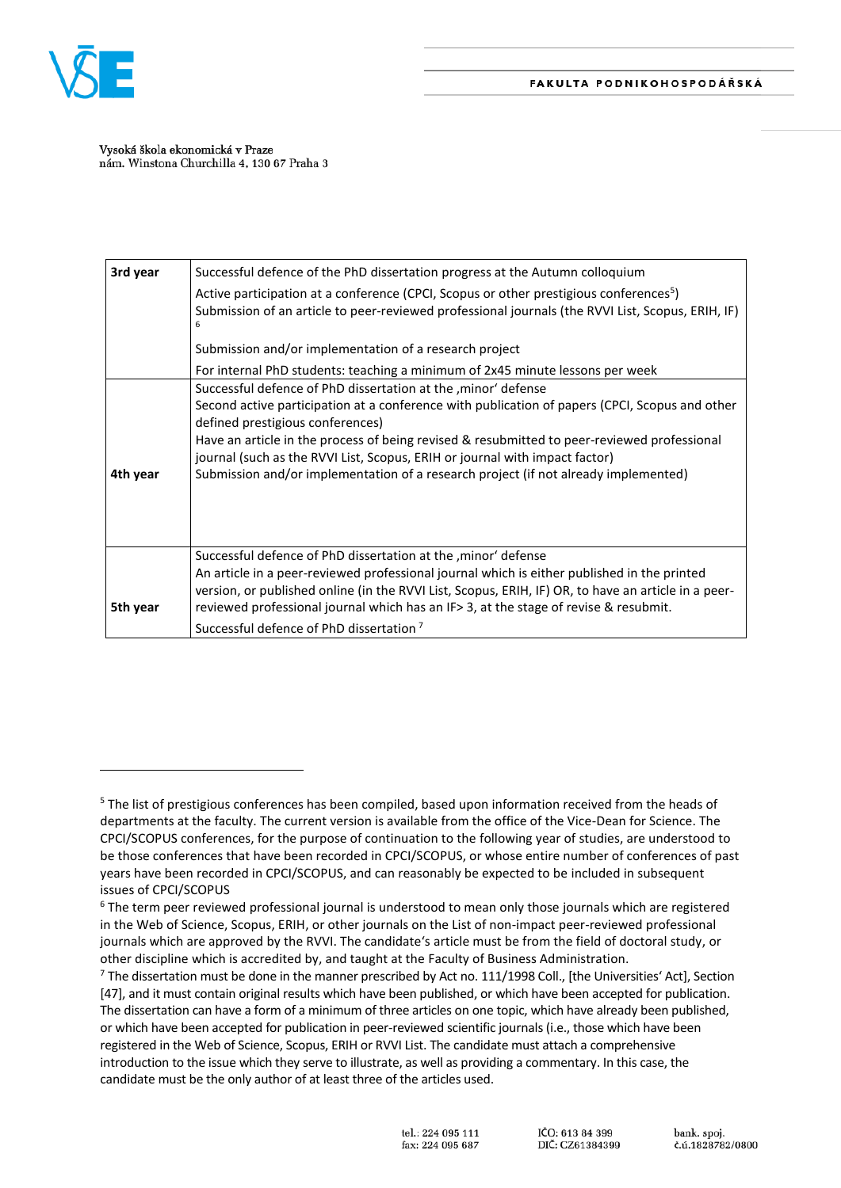

 $\overline{\phantom{a}}$ 

Vysoká škola ekonomická v Praze nám. Winstona Churchilla 4, 130 67 Praha 3

| 3rd year | Successful defence of the PhD dissertation progress at the Autumn colloquium                                                                                                                                                                                                                                                                                                                                                                                              |
|----------|---------------------------------------------------------------------------------------------------------------------------------------------------------------------------------------------------------------------------------------------------------------------------------------------------------------------------------------------------------------------------------------------------------------------------------------------------------------------------|
|          | Active participation at a conference (CPCI, Scopus or other prestigious conferences <sup>5</sup> )<br>Submission of an article to peer-reviewed professional journals (the RVVI List, Scopus, ERIH, IF)                                                                                                                                                                                                                                                                   |
|          | Submission and/or implementation of a research project                                                                                                                                                                                                                                                                                                                                                                                                                    |
|          | For internal PhD students: teaching a minimum of 2x45 minute lessons per week                                                                                                                                                                                                                                                                                                                                                                                             |
| 4th year | Successful defence of PhD dissertation at the , minor' defense<br>Second active participation at a conference with publication of papers (CPCI, Scopus and other<br>defined prestigious conferences)<br>Have an article in the process of being revised & resubmitted to peer-reviewed professional<br>journal (such as the RVVI List, Scopus, ERIH or journal with impact factor)<br>Submission and/or implementation of a research project (if not already implemented) |
| 5th year | Successful defence of PhD dissertation at the , minor' defense<br>An article in a peer-reviewed professional journal which is either published in the printed<br>version, or published online (in the RVVI List, Scopus, ERIH, IF) OR, to have an article in a peer-<br>reviewed professional journal which has an IF> 3, at the stage of revise & resubmit.                                                                                                              |
|          | Successful defence of PhD dissertation <sup>7</sup>                                                                                                                                                                                                                                                                                                                                                                                                                       |

<sup>&</sup>lt;sup>5</sup> The list of prestigious conferences has been compiled, based upon information received from the heads of departments at the faculty. The current version is available from the office of the Vice-Dean for Science. The CPCI/SCOPUS conferences, for the purpose of continuation to the following year of studies, are understood to be those conferences that have been recorded in CPCI/SCOPUS, or whose entire number of conferences of past years have been recorded in CPCI/SCOPUS, and can reasonably be expected to be included in subsequent issues of CPCI/SCOPUS

 $6$  The term peer reviewed professional journal is understood to mean only those journals which are registered in the Web of Science, Scopus, ERIH, or other journals on the List of non-impact peer-reviewed professional journals which are approved by the RVVI. The candidate's article must be from the field of doctoral study, or other discipline which is accredited by, and taught at the Faculty of Business Administration.

 $<sup>7</sup>$  The dissertation must be done in the manner prescribed by Act no. 111/1998 Coll., [the Universities' Act], Section</sup> [47], and it must contain original results which have been published, or which have been accepted for publication. The dissertation can have a form of a minimum of three articles on one topic, which have already been published, or which have been accepted for publication in peer-reviewed scientific journals (i.e., those which have been registered in the Web of Science, Scopus, ERIH or RVVI List. The candidate must attach a comprehensive introduction to the issue which they serve to illustrate, as well as providing a commentary. In this case, the candidate must be the only author of at least three of the articles used.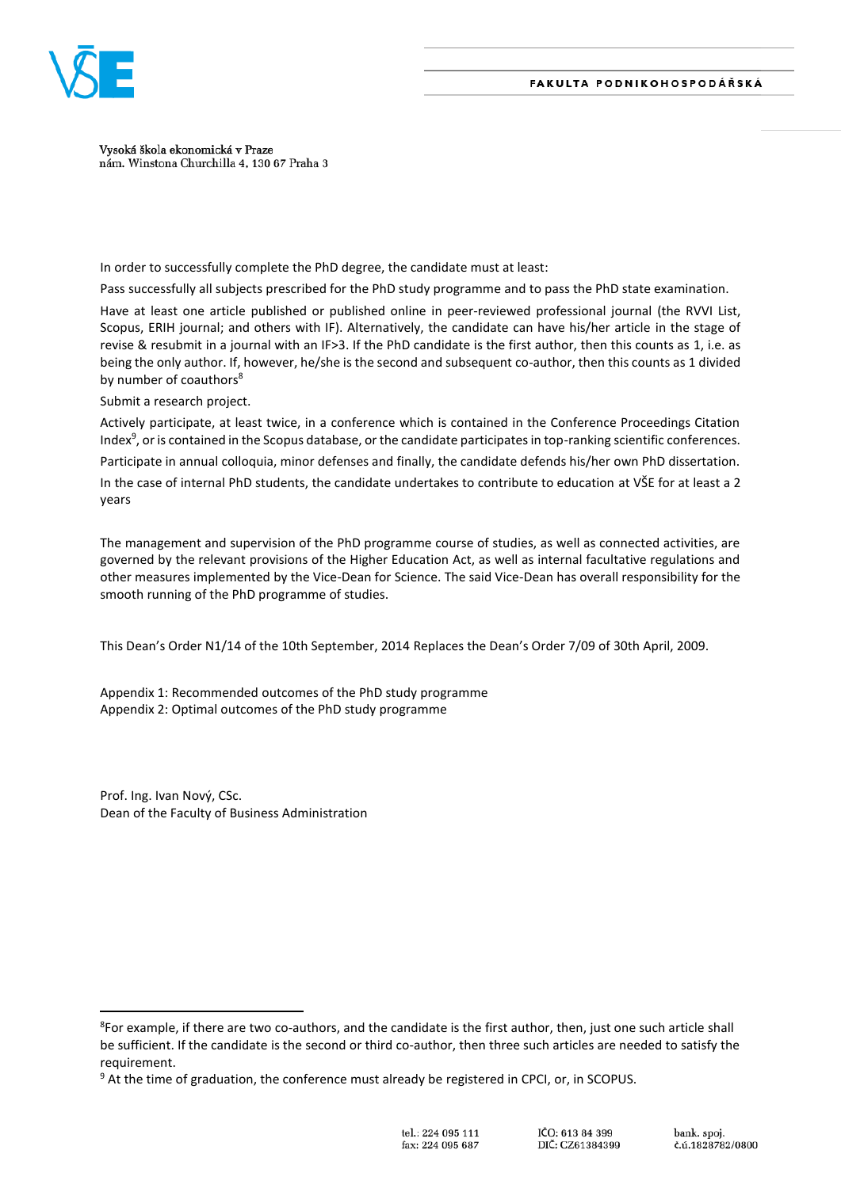

Vysoká škola ekonomická v Praze nám. Winstona Churchilla 4, 130 67 Praha 3

In order to successfully complete the PhD degree, the candidate must at least:

Pass successfully all subjects prescribed for the PhD study programme and to pass the PhD state examination.

Have at least one article published or published online in peer-reviewed professional journal (the RVVI List, Scopus, ERIH journal; and others with IF). Alternatively, the candidate can have his/her article in the stage of revise & resubmit in a journal with an IF>3. If the PhD candidate is the first author, then this counts as 1, i.e. as being the only author. If, however, he/she is the second and subsequent co-author, then this counts as 1 divided by number of coauthors<sup>8</sup>

Submit a research project.

Actively participate, at least twice, in a conference which is contained in the Conference Proceedings Citation Index<sup>9</sup>, or is contained in the Scopus database, or the candidate participates in top-ranking scientific conferences.

Participate in annual colloquia, minor defenses and finally, the candidate defends his/her own PhD dissertation.

In the case of internal PhD students, the candidate undertakes to contribute to education at VŠE for at least a 2 years

The management and supervision of the PhD programme course of studies, as well as connected activities, are governed by the relevant provisions of the Higher Education Act, as well as internal facultative regulations and other measures implemented by the Vice-Dean for Science. The said Vice-Dean has overall responsibility for the smooth running of the PhD programme of studies.

This Dean's Order N1/14 of the 10th September, 2014 Replaces the Dean's Order 7/09 of 30th April, 2009.

Appendix 1: Recommended outcomes of the PhD study programme Appendix 2: Optimal outcomes of the PhD study programme

Prof. Ing. Ivan Nový, CSc. Dean of the Faculty of Business Administration

 $\overline{\phantom{a}}$ 

<sup>8</sup> For example, if there are two co-authors, and the candidate is the first author, then, just one such article shall be sufficient. If the candidate is the second or third co-author, then three such articles are needed to satisfy the requirement.

<sup>&</sup>lt;sup>9</sup> At the time of graduation, the conference must already be registered in CPCI, or, in SCOPUS.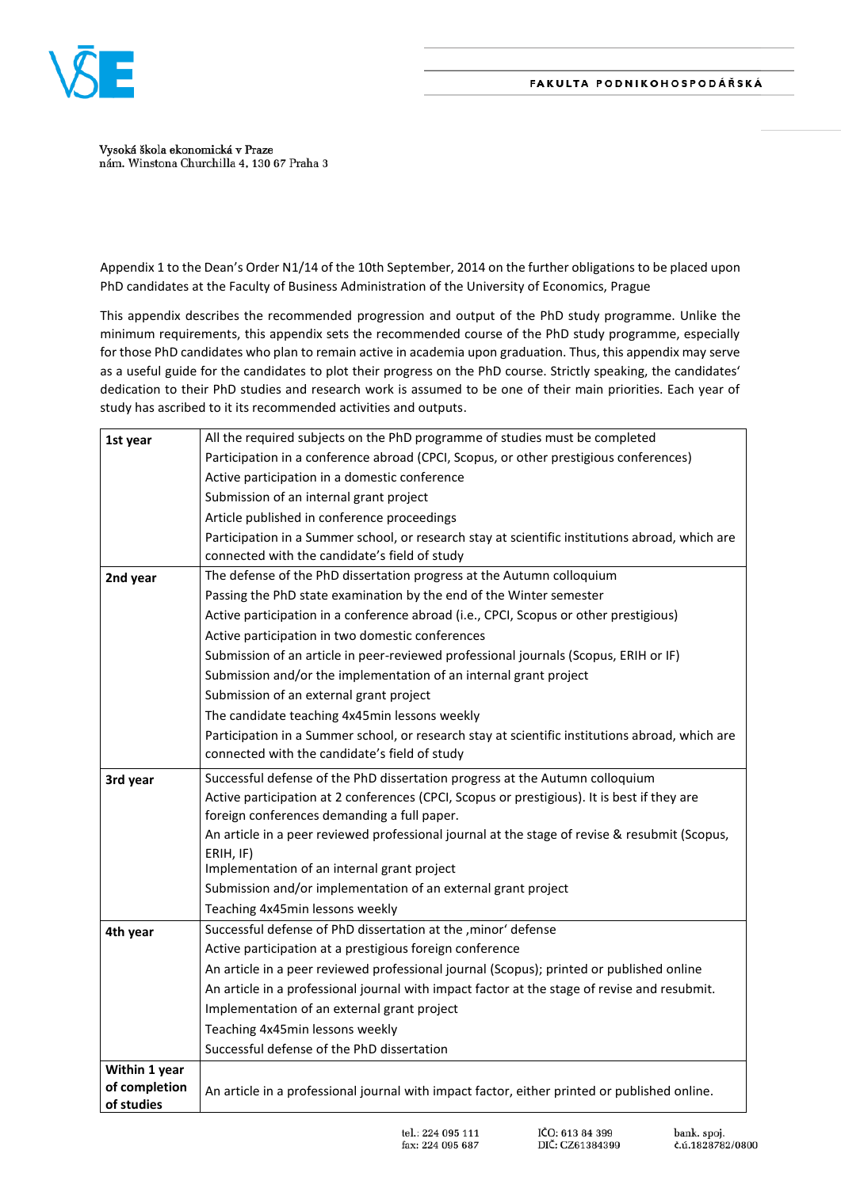

Vysoká škola ekonomická v Praze nám. Winstona Churchilla 4, 130 67 Praha 3

Appendix 1 to the Dean's Order N1/14 of the 10th September, 2014 on the further obligations to be placed upon PhD candidates at the Faculty of Business Administration of the University of Economics, Prague

This appendix describes the recommended progression and output of the PhD study programme. Unlike the minimum requirements, this appendix sets the recommended course of the PhD study programme, especially for those PhD candidates who plan to remain active in academia upon graduation. Thus, this appendix may serve as a useful guide for the candidates to plot their progress on the PhD course. Strictly speaking, the candidates' dedication to their PhD studies and research work is assumed to be one of their main priorities. Each year of study has ascribed to it its recommended activities and outputs.

| 1st year                    | All the required subjects on the PhD programme of studies must be completed                     |
|-----------------------------|-------------------------------------------------------------------------------------------------|
|                             | Participation in a conference abroad (CPCI, Scopus, or other prestigious conferences)           |
|                             | Active participation in a domestic conference                                                   |
|                             | Submission of an internal grant project                                                         |
|                             | Article published in conference proceedings                                                     |
|                             | Participation in a Summer school, or research stay at scientific institutions abroad, which are |
|                             | connected with the candidate's field of study                                                   |
| 2nd year                    | The defense of the PhD dissertation progress at the Autumn colloquium                           |
|                             | Passing the PhD state examination by the end of the Winter semester                             |
|                             | Active participation in a conference abroad (i.e., CPCI, Scopus or other prestigious)           |
|                             | Active participation in two domestic conferences                                                |
|                             | Submission of an article in peer-reviewed professional journals (Scopus, ERIH or IF)            |
|                             | Submission and/or the implementation of an internal grant project                               |
|                             | Submission of an external grant project                                                         |
|                             | The candidate teaching 4x45min lessons weekly                                                   |
|                             | Participation in a Summer school, or research stay at scientific institutions abroad, which are |
|                             | connected with the candidate's field of study                                                   |
| 3rd year                    | Successful defense of the PhD dissertation progress at the Autumn colloquium                    |
|                             | Active participation at 2 conferences (CPCI, Scopus or prestigious). It is best if they are     |
|                             | foreign conferences demanding a full paper.                                                     |
|                             | An article in a peer reviewed professional journal at the stage of revise & resubmit (Scopus,   |
|                             | ERIH, IF)                                                                                       |
|                             | Implementation of an internal grant project                                                     |
|                             | Submission and/or implementation of an external grant project                                   |
|                             | Teaching 4x45min lessons weekly                                                                 |
| 4th year                    | Successful defense of PhD dissertation at the , minor' defense                                  |
|                             | Active participation at a prestigious foreign conference                                        |
|                             | An article in a peer reviewed professional journal (Scopus); printed or published online        |
|                             | An article in a professional journal with impact factor at the stage of revise and resubmit.    |
|                             | Implementation of an external grant project                                                     |
|                             | Teaching 4x45min lessons weekly                                                                 |
|                             | Successful defense of the PhD dissertation                                                      |
|                             |                                                                                                 |
| Within 1 year               |                                                                                                 |
| of completion<br>of studies | An article in a professional journal with impact factor, either printed or published online.    |